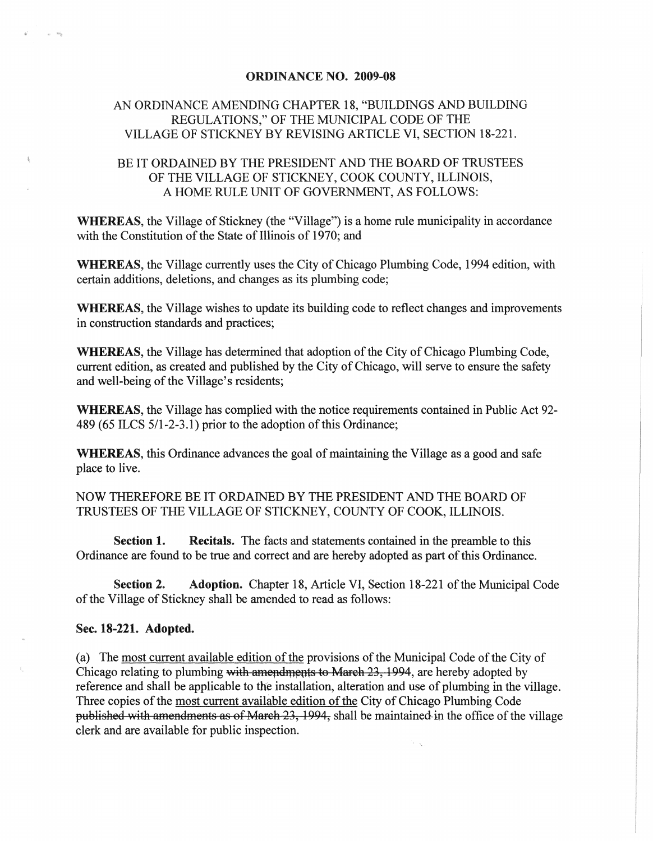## ORDINANCE NO. 2009-08

## AN ORDINANCE AMENDING CHAPTER 18, "BUILDINGS AND BUILDING REGULATIONS," OF THE MUNICIPAL CODE OF THE VILLAGE OF STICKNEY BY REVISING ARTICLE VI, SECTION 18-221.

## BE IT ORDAINED BY THE PRESIDENT AND THE BOARD OF TRUSTEES OF THE VILLAGE OF STICKNEY, COOK COUNTY, ILLINOIS, A HOME RULE UNIT OF GOVERNMENT, AS FOLLOWS:

WHEREAS, the Village of Stickney (the "Village") is a home rule municipality in accordance with the Constitution of the State of Illinois of 1970; and

WHEREAS, the Village currently uses the City of Chicago Plumbing Code, 1994 edition, with certain additions, deletions, and changes as its plumbing code;

WHEREAS, the Village wishes to update its building code to reflect changes and improvements in construction standards and practices;

WHEREAS, the Village has determined that adoption of the City of Chicago Plumbing Code, current edition, as created and published by the City of Chicago, will serve to ensure the safety and well-being of the Village's residents;

WHEREAS, the Village has complied with the notice requirements contained in Public Act 92- 489 (65 ILCS 5/1-2-3.1) prior to the adoption of this Ordinance;

WHEREAS, this Ordinance advances the goal of maintaining the Village as a good and safe place to live.

NOW THEREFORE BE IT ORDAINED BY THE PRESIDENT AND THE BOARD OF TRUSTEES OF THE VILLAGE OF STICKNEY, COUNTY OF COOK, ILLINOIS.

Section 1. Recitals. The facts and statements contained in the preamble to this Ordinance are found to be true and correct and are hereby adopted as part of this Ordinance.

Section 2. Adoption. Chapter 18, Article VI, Section 18-221 of the Municipal Code of the Village of Stickney shall be amended to read as follows:

## Sec. 18-221. Adopted.

(a) The most current available edition of the provisions of the Municipal Code of the City of Chicago relating to plumbing with amendments to March 23, 1994, are hereby adopted by reference and shall be applicable to the installation, alteration and use of plumbing in the village. Three copies of the most current available edition of the City of Chicago Plumbing Code published with amendments as of March 23, 1994, shall be maintained in the office of the village clerk and are available for public inspection.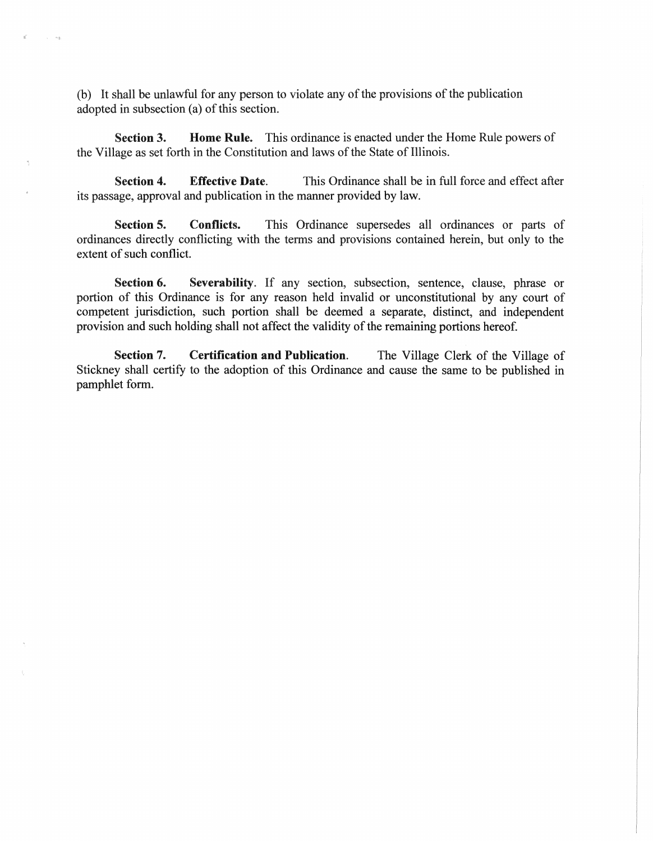(b) It shall be unlawful for any person to violate any of the provisions of the publication adopted in subsection (a) of this section.

'.

Section 3. Home Rule. This ordinance is enacted under the Home Rule powers of the Village as set forth in the Constitution and laws of the State of Illinois.

Section 4. Effective Date. This Ordinance shall be in full force and effect after its passage, approval and publication in the manner provided by law.

Section 5. Conflicts. This Ordinance supersedes all ordinances or parts of ordinances directly conflicting with the terms and provisions contained herein, but only to the extent of such conflict.

Section 6. Severability. If any section, subsection, sentence, clause, phrase or portion of this Ordinance is for any reason held invalid or unconstitutional by any court of competent jurisdiction, such portion shall be deemed a separate, distinct, and independent provision and such holding shall not affect the validity of the remaining portions hereof.

Section 7. Certification and Publication. The Village Clerk of the Village of Stickney shall certify to the adoption of this Ordinance and cause the same to be published in pamphlet form.